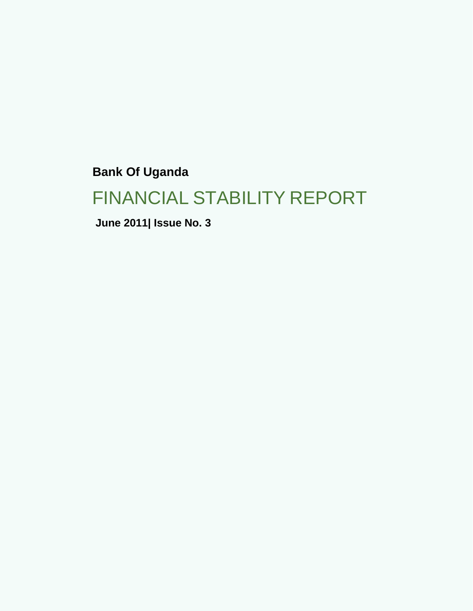**Bank Of Uganda**

# FINANCIAL STABILITY REPORT

**June 2011| Issue No. 3**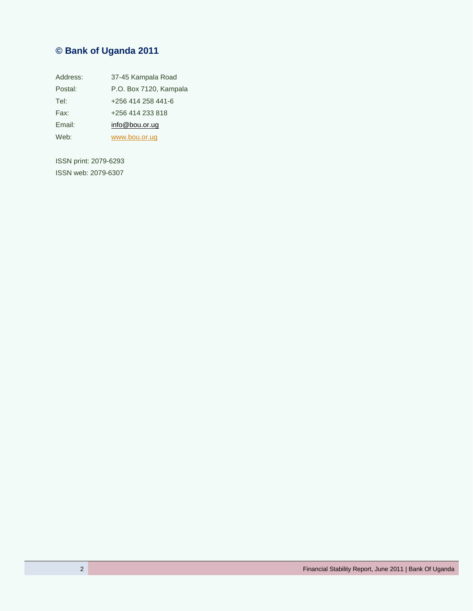# **© Bank of Uganda 2011**

| Address: | 37-45 Kampala Road     |
|----------|------------------------|
| Postal:  | P.O. Box 7120, Kampala |
| Tel:     | +256 414 258 441-6     |
| Fax:     | +256 414 233 818       |
| Email:   | info@bou.or.ug         |
| Web:     | www.bou.or.ug          |

ISSN print: 2079-6293 ISSN web: 2079-6307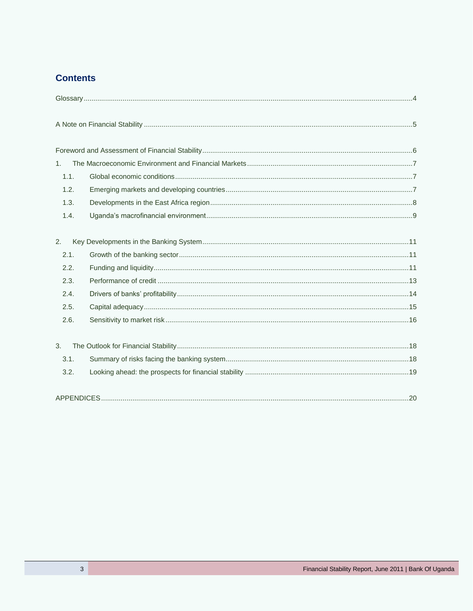## **Contents**

| 1.   |  |
|------|--|
| 1.1. |  |
| 1.2. |  |
| 1.3. |  |
| 1.4. |  |
|      |  |
| 2.   |  |
| 2.1. |  |
| 2.2. |  |
| 2.3. |  |
| 2.4. |  |
| 2.5. |  |
| 2.6. |  |
| 3.   |  |
| 3.1. |  |
| 3.2. |  |
|      |  |
|      |  |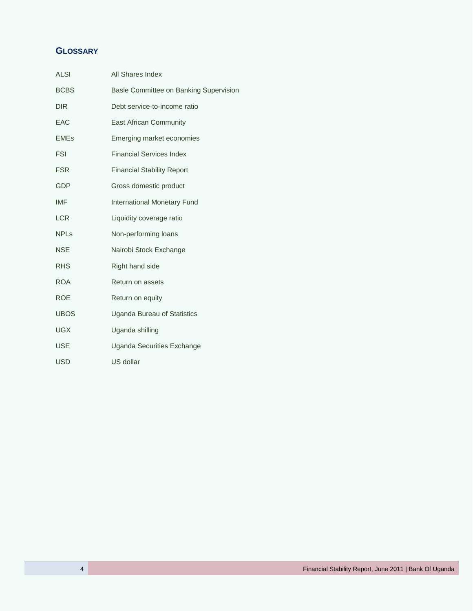# <span id="page-3-0"></span>**GLOSSARY**

| <b>ALSI</b> | All Shares Index                       |
|-------------|----------------------------------------|
| <b>BCBS</b> | Basle Committee on Banking Supervision |
| <b>DIR</b>  | Debt service-to-income ratio           |
| <b>EAC</b>  | East African Community                 |
| <b>EMEs</b> | Emerging market economies              |
| <b>FSI</b>  | <b>Financial Services Index</b>        |
| <b>FSR</b>  | <b>Financial Stability Report</b>      |
| <b>GDP</b>  | Gross domestic product                 |
| <b>IMF</b>  | <b>International Monetary Fund</b>     |
| <b>LCR</b>  | Liquidity coverage ratio               |
| <b>NPLs</b> | Non-performing loans                   |
| <b>NSE</b>  | Nairobi Stock Exchange                 |
| <b>RHS</b>  | Right hand side                        |
| <b>ROA</b>  | Return on assets                       |
| <b>ROE</b>  | Return on equity                       |
| <b>UBOS</b> | Uganda Bureau of Statistics            |
| <b>UGX</b>  | Uganda shilling                        |
| <b>USE</b>  | Uganda Securities Exchange             |
| <b>USD</b>  | US dollar                              |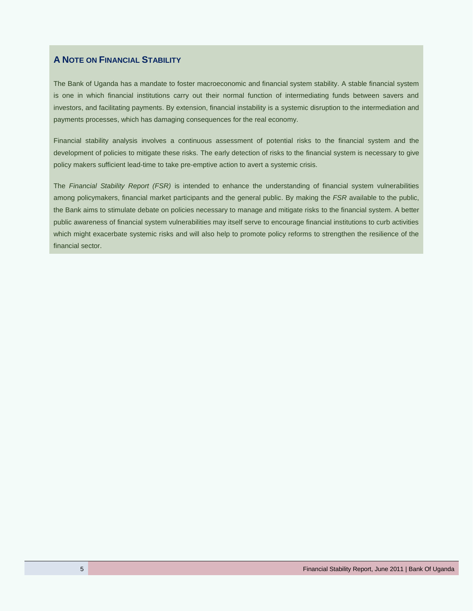#### <span id="page-4-0"></span>**A NOTE ON FINANCIAL STABILITY**

The Bank of Uganda has a mandate to foster macroeconomic and financial system stability. A stable financial system is one in which financial institutions carry out their normal function of intermediating funds between savers and investors, and facilitating payments. By extension, financial instability is a systemic disruption to the intermediation and payments processes, which has damaging consequences for the real economy.

Financial stability analysis involves a continuous assessment of potential risks to the financial system and the development of policies to mitigate these risks. The early detection of risks to the financial system is necessary to give policy makers sufficient lead-time to take pre-emptive action to avert a systemic crisis.

The *Financial Stability Report (FSR)* is intended to enhance the understanding of financial system vulnerabilities among policymakers, financial market participants and the general public. By making the *FSR* available to the public, the Bank aims to stimulate debate on policies necessary to manage and mitigate risks to the financial system. A better public awareness of financial system vulnerabilities may itself serve to encourage financial institutions to curb activities which might exacerbate systemic risks and will also help to promote policy reforms to strengthen the resilience of the financial sector.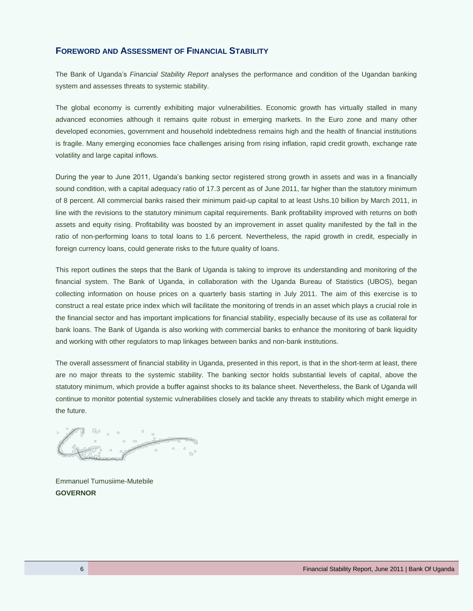#### <span id="page-5-0"></span>**FOREWORD AND ASSESSMENT OF FINANCIAL STABILITY**

The Bank of Uganda's *Financial Stability Report* analyses the performance and condition of the Ugandan banking system and assesses threats to systemic stability.

The global economy is currently exhibiting major vulnerabilities. Economic growth has virtually stalled in many advanced economies although it remains quite robust in emerging markets. In the Euro zone and many other developed economies, government and household indebtedness remains high and the health of financial institutions is fragile. Many emerging economies face challenges arising from rising inflation, rapid credit growth, exchange rate volatility and large capital inflows.

During the year to June 2011, Uganda's banking sector registered strong growth in assets and was in a financially sound condition, with a capital adequacy ratio of 17.3 percent as of June 2011, far higher than the statutory minimum of 8 percent. All commercial banks raised their minimum paid-up capital to at least Ushs.10 billion by March 2011, in line with the revisions to the statutory minimum capital requirements. Bank profitability improved with returns on both assets and equity rising. Profitability was boosted by an improvement in asset quality manifested by the fall in the ratio of non-performing loans to total loans to 1.6 percent. Nevertheless, the rapid growth in credit, especially in foreign currency loans, could generate risks to the future quality of loans.

This report outlines the steps that the Bank of Uganda is taking to improve its understanding and monitoring of the financial system. The Bank of Uganda, in collaboration with the Uganda Bureau of Statistics (UBOS), began collecting information on house prices on a quarterly basis starting in July 2011. The aim of this exercise is to construct a real estate price index which will facilitate the monitoring of trends in an asset which plays a crucial role in the financial sector and has important implications for financial stability, especially because of its use as collateral for bank loans. The Bank of Uganda is also working with commercial banks to enhance the monitoring of bank liquidity and working with other regulators to map linkages between banks and non-bank institutions.

The overall assessment of financial stability in Uganda, presented in this report, is that in the short-term at least, there are no major threats to the systemic stability. The banking sector holds substantial levels of capital, above the statutory minimum, which provide a buffer against shocks to its balance sheet. Nevertheless, the Bank of Uganda will continue to monitor potential systemic vulnerabilities closely and tackle any threats to stability which might emerge in the future.

Emmanuel Tumusiime-Mutebile **GOVERNOR**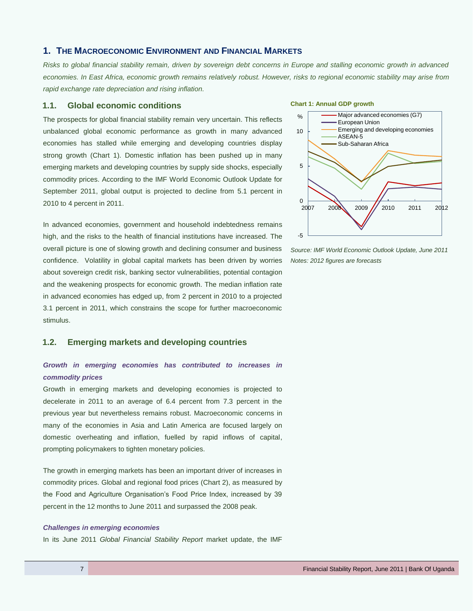#### <span id="page-6-0"></span>**1. THE MACROECONOMIC ENVIRONMENT AND FINANCIAL MARKETS**

*Risks to global financial stability remain, driven by sovereign debt concerns in Europe and stalling economic growth in advanced economies. In East Africa, economic growth remains relatively robust. However, risks to regional economic stability may arise from rapid exchange rate depreciation and rising inflation.* 

#### <span id="page-6-1"></span>**1.1. Global economic conditions**

The prospects for global financial stability remain very uncertain. This reflects unbalanced global economic performance as growth in many advanced economies has stalled while emerging and developing countries display strong growth (Chart 1). Domestic inflation has been pushed up in many emerging markets and developing countries by supply side shocks, especially commodity prices. According to the IMF World Economic Outlook Update for September 2011, global output is projected to decline from 5.1 percent in 2010 to 4 percent in 2011.

In advanced economies, government and household indebtedness remains high, and the risks to the health of financial institutions have increased. The overall picture is one of slowing growth and declining consumer and business confidence. Volatility in global capital markets has been driven by worries about sovereign credit risk, banking sector vulnerabilities, potential contagion and the weakening prospects for economic growth. The median inflation rate in advanced economies has edged up, from 2 percent in 2010 to a projected 3.1 percent in 2011, which constrains the scope for further macroeconomic stimulus.

#### <span id="page-6-2"></span>**1.2. Emerging markets and developing countries**

#### *Growth in emerging economies has contributed to increases in commodity prices*

Growth in emerging markets and developing economies is projected to decelerate in 2011 to an average of 6.4 percent from 7.3 percent in the previous year but nevertheless remains robust. Macroeconomic concerns in many of the economies in Asia and Latin America are focused largely on domestic overheating and inflation, fuelled by rapid inflows of capital, prompting policymakers to tighten monetary policies.

The growth in emerging markets has been an important driver of increases in commodity prices. Global and regional food prices (Chart 2), as measured by the Food and Agriculture Organisation's Food Price Index, increased by 39 percent in the 12 months to June 2011 and surpassed the 2008 peak.

#### *Challenges in emerging economies*

In its June 2011 *Global Financial Stability Report* market update, the IMF

#### **Chart 1: Annual GDP growth**



*Source: IMF World Economic Outlook Update, June 2011 Notes: 2012 figures are forecasts*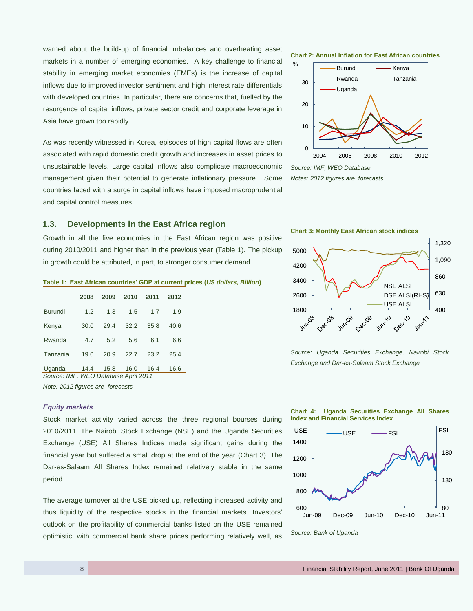warned about the build-up of financial imbalances and overheating asset markets in a number of emerging economies. A key challenge to financial stability in emerging market economies (EMEs) is the increase of capital inflows due to improved investor sentiment and high interest rate differentials with developed countries. In particular, there are concerns that, fuelled by the resurgence of capital inflows, private sector credit and corporate leverage in Asia have grown too rapidly.

As was recently witnessed in Korea, episodes of high capital flows are often associated with rapid domestic credit growth and increases in asset prices to unsustainable levels. Large capital inflows also complicate macroeconomic management given their potential to generate inflationary pressure. Some countries faced with a surge in capital inflows have imposed macroprudential and capital control measures.

#### <span id="page-7-0"></span>**1.3. Developments in the East Africa region**

Growth in all the five economies in the East African region was positive during 2010/2011 and higher than in the previous year (Table 1). The pickup in growth could be attributed, in part, to stronger consumer demand.

#### **Table 1: East African countries' GDP at current prices (***US dollars, Billion***)**

|                | 2008 | 2009 | 2010 | 2011 | 2012 |
|----------------|------|------|------|------|------|
| <b>Burundi</b> | 1.2  | 1.3  | 1.5  | 1.7  | 1.9  |
| Kenya          | 30.0 | 29.4 | 32.2 | 35.8 | 40.6 |
| Rwanda         | 4.7  | 5.2  | 5.6  | 6.1  | 6.6  |
| Tanzania       | 19.0 | 20.9 | 22.7 | 23.2 | 25.4 |
| Uganda         | 14.4 | 15.8 | 16.0 | 16.4 | 16.6 |

*Source: IMF, WEO Database April 2011*

*Note: 2012 figures are forecasts*

#### *Equity markets*

Stock market activity varied across the three regional bourses during 2010/2011. The Nairobi Stock Exchange (NSE) and the Uganda Securities Exchange (USE) All Shares Indices made significant gains during the financial year but suffered a small drop at the end of the year (Chart 3). The Dar-es-Salaam All Shares Index remained relatively stable in the same period.

The average turnover at the USE picked up, reflecting increased activity and thus liquidity of the respective stocks in the financial markets. Investors' outlook on the profitability of commercial banks listed on the USE remained optimistic, with commercial bank share prices performing relatively well, as

**Chart 2: Annual Inflation for East African countries**



*Notes: 2012 figures are forecasts*





*Source: Uganda Securities Exchange, Nairobi Stock Exchange and Dar-es-Salaam Stock Exchange*





*Source: Bank of Uganda*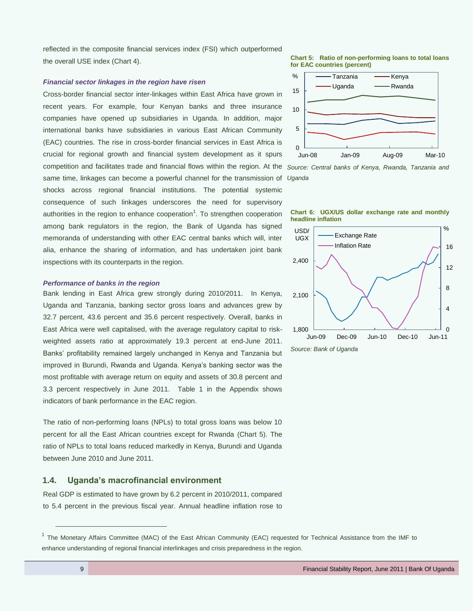reflected in the composite financial services index (FSI) which outperformed the overall USE index (Chart 4).

#### *Financial sector linkages in the region have risen*

Cross-border financial sector inter-linkages within East Africa have grown in recent years. For example, four Kenyan banks and three insurance companies have opened up subsidiaries in Uganda. In addition, major international banks have subsidiaries in various East African Community (EAC) countries. The rise in cross-border financial services in East Africa is crucial for regional growth and financial system development as it spurs competition and facilitates trade and financial flows within the region. At the *Source: Central banks of Kenya, Rwanda, Tanzania and*  same time, linkages can become a powerful channel for the transmission of *Uganda* shocks across regional financial institutions. The potential systemic consequence of such linkages underscores the need for supervisory authorities in the region to enhance cooperation<sup>1</sup>. To strengthen cooperation among bank regulators in the region, the Bank of Uganda has signed memoranda of understanding with other EAC central banks which will, inter alia, enhance the sharing of information, and has undertaken joint bank inspections with its counterparts in the region.

#### *Performance of banks in the region*

Bank lending in East Africa grew strongly during 2010/2011. In Kenya, Uganda and Tanzania, banking sector gross loans and advances grew by 32.7 percent, 43.6 percent and 35.6 percent respectively. Overall, banks in East Africa were well capitalised, with the average regulatory capital to riskweighted assets ratio at approximately 19.3 percent at end-June 2011. Banks' profitability remained largely unchanged in Kenya and Tanzania but improved in Burundi, Rwanda and Uganda. Kenya's banking sector was the most profitable with average return on equity and assets of 30.8 percent and 3.3 percent respectively in June 2011. Table 1 in the Appendix shows indicators of bank performance in the EAC region.

The ratio of non-performing loans (NPLs) to total gross loans was below 10 percent for all the East African countries except for Rwanda (Chart 5). The ratio of NPLs to total loans reduced markedly in Kenya, Burundi and Uganda between June 2010 and June 2011.

#### <span id="page-8-0"></span>**1.4. Uganda's macrofinancial environment**

Real GDP is estimated to have grown by 6.2 percent in 2010/2011, compared to 5.4 percent in the previous fiscal year. Annual headline inflation rose to

**Chart 5: Ratio of non-performing loans to total loans for EAC countries (percent)**







 $\overline{a}$ 

<sup>&</sup>lt;sup>1</sup> The Monetary Affairs Committee (MAC) of the East African Community (EAC) requested for Technical Assistance from the IMF to enhance understanding of regional financial interlinkages and crisis preparedness in the region.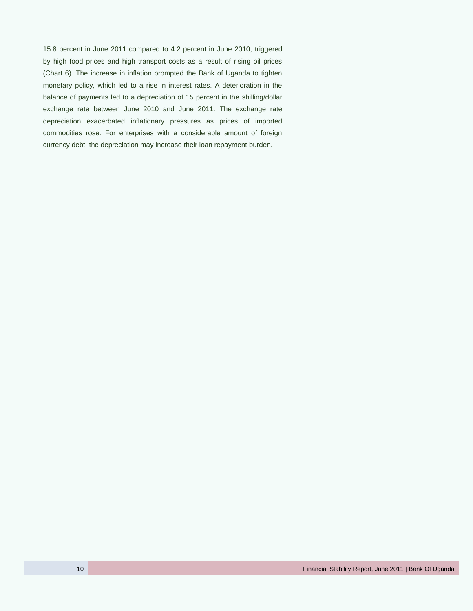15.8 percent in June 2011 compared to 4.2 percent in June 2010, triggered by high food prices and high transport costs as a result of rising oil prices (Chart 6). The increase in inflation prompted the Bank of Uganda to tighten monetary policy, which led to a rise in interest rates. A deterioration in the balance of payments led to a depreciation of 15 percent in the shilling/dollar exchange rate between June 2010 and June 2011. The exchange rate depreciation exacerbated inflationary pressures as prices of imported commodities rose. For enterprises with a considerable amount of foreign currency debt, the depreciation may increase their loan repayment burden.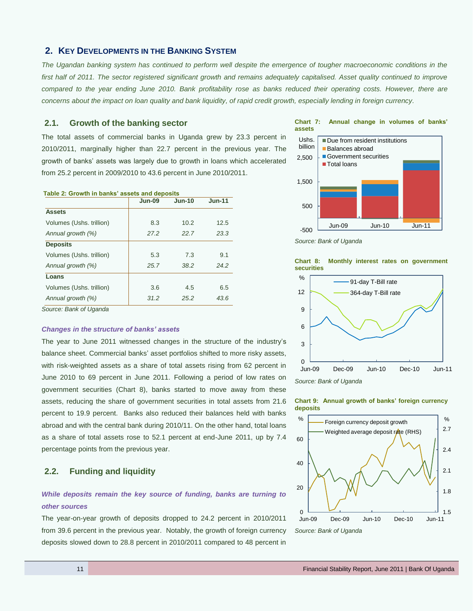#### <span id="page-10-0"></span>**2. KEY DEVELOPMENTS IN THE BANKING SYSTEM**

*The Ugandan banking system has continued to perform well despite the emergence of tougher macroeconomic conditions in the*  first half of 2011. The sector registered significant growth and remains adequately capitalised. Asset quality continued to improve *compared to the year ending June 2010. Bank profitability rose as banks reduced their operating costs. However, there are concerns about the impact on loan quality and bank liquidity, of rapid credit growth, especially lending in foreign currency.*

#### <span id="page-10-1"></span>**2.1. Growth of the banking sector**

The total assets of commercial banks in Uganda grew by 23.3 percent in 2010/2011, marginally higher than 22.7 percent in the previous year. The growth of banks' assets was largely due to growth in loans which accelerated from 25.2 percent in 2009/2010 to 43.6 percent in June 2010/2011.

| $Jun-09$ | <b>Jun-10</b> | $Jun-11$                                      |
|----------|---------------|-----------------------------------------------|
|          |               |                                               |
| 8.3      | 10.2          | 12.5                                          |
| 27.2     | 22.7          | 23.3                                          |
|          |               |                                               |
| 5.3      | 7.3           | 9.1                                           |
| 25.7     | 38.2          | 24.2                                          |
|          |               |                                               |
| 3.6      | 4.5           | 6.5                                           |
| 31.2     | 25.2          | 43.6                                          |
|          |               | rable 2: Growth in banks' assets and deposits |

**Table 2: Growth in banks' assets and deposits**

*Source: Bank of Uganda*

#### *Changes in the structure of banks' assets*

The year to June 2011 witnessed changes in the structure of the industry's balance sheet. Commercial banks' asset portfolios shifted to more risky assets, with risk-weighted assets as a share of total assets rising from 62 percent in June 2010 to 69 percent in June 2011. Following a period of low rates on government securities (Chart 8), banks started to move away from these assets, reducing the share of government securities in total assets from 21.6 percent to 19.9 percent. Banks also reduced their balances held with banks abroad and with the central bank during 2010/11. On the other hand, total loans as a share of total assets rose to 52.1 percent at end-June 2011, up by 7.4 percentage points from the previous year.

#### <span id="page-10-2"></span>**2.2. Funding and liquidity**

#### *While deposits remain the key source of funding, banks are turning to other sources*

The year-on-year growth of deposits dropped to 24.2 percent in 2010/2011 from 39.6 percent in the previous year. Notably, the growth of foreign currency deposits slowed down to 28.8 percent in 2010/2011 compared to 48 percent in





*Source: Bank of Uganda*





*Source: Bank of Uganda*



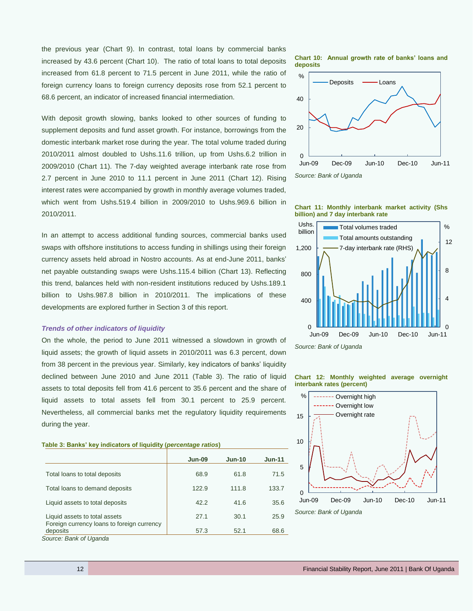the previous year (Chart 9). In contrast, total loans by commercial banks increased by 43.6 percent (Chart 10). The ratio of total loans to total deposits increased from 61.8 percent to 71.5 percent in June 2011, while the ratio of foreign currency loans to foreign currency deposits rose from 52.1 percent to 68.6 percent, an indicator of increased financial intermediation.

With deposit growth slowing, banks looked to other sources of funding to supplement deposits and fund asset growth. For instance, borrowings from the domestic interbank market rose during the year. The total volume traded during 2010/2011 almost doubled to Ushs.11.6 trillion, up from Ushs.6.2 trillion in 2009/2010 (Chart 11). The 7-day weighted average interbank rate rose from 2.7 percent in June 2010 to 11.1 percent in June 2011 (Chart 12). Rising interest rates were accompanied by growth in monthly average volumes traded, which went from Ushs.519.4 billion in 2009/2010 to Ushs.969.6 billion in 2010/2011.

In an attempt to access additional funding sources, commercial banks used swaps with offshore institutions to access funding in shillings using their foreign currency assets held abroad in Nostro accounts. As at end-June 2011, banks' net payable outstanding swaps were Ushs.115.4 billion (Chart 13). Reflecting this trend, balances held with non-resident institutions reduced by Ushs.189.1 billion to Ushs.987.8 billion in 2010/2011. The implications of these developments are explored further in Section 3 of this report.

#### *Trends of other indicators of liquidity*

On the whole, the period to June 2011 witnessed a slowdown in growth of liquid assets; the growth of liquid assets in 2010/2011 was 6.3 percent, down from 38 percent in the previous year. Similarly, key indicators of banks' liquidity declined between June 2010 and June 2011 (Table 3). The ratio of liquid assets to total deposits fell from 41.6 percent to 35.6 percent and the share of liquid assets to total assets fell from 30.1 percent to 25.9 percent. Nevertheless, all commercial banks met the regulatory liquidity requirements during the year.

#### **Table 3: Banks' key indicators of liquidity (***percentage ratios***)**

|                                                                             | Jun-09 | $Jun-10$ | $Jun-11$ |
|-----------------------------------------------------------------------------|--------|----------|----------|
| Total loans to total deposits                                               | 68.9   | 61.8     | 71.5     |
| Total loans to demand deposits                                              | 122.9  | 111.8    | 133.7    |
| Liquid assets to total deposits                                             | 42.2   | 41.6     | 35.6     |
| Liquid assets to total assets<br>Foreign currency loans to foreign currency | 27.1   | 30.1     | 25.9     |
| deposits                                                                    | 57.3   | 52.1     | 68.6     |

*Source: Bank of Uganda*

**Chart 10: Annual growth rate of banks' loans and deposits**









#### **Chart 12: Monthly weighted average overnight interbank rates (percent)**

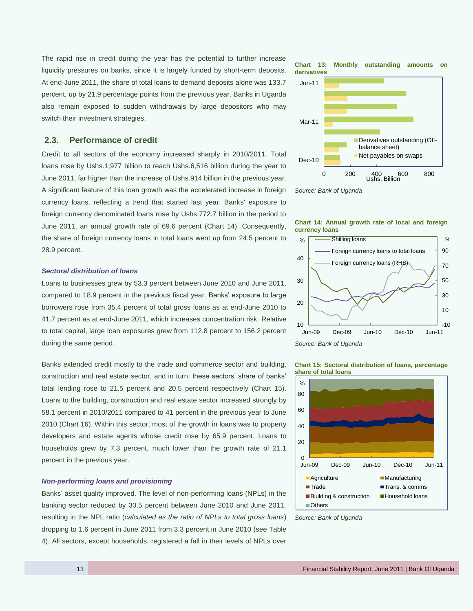The rapid rise in credit during the year has the potential to further increase liquidity pressures on banks, since it is largely funded by short-term deposits. At end-June 2011, the share of total loans to demand deposits alone was 133.7 percent, up by 21.9 percentage points from the previous year. Banks in Uganda also remain exposed to sudden withdrawals by large depositors who may switch their investment strategies.

#### <span id="page-12-0"></span>**2.3. Performance of credit**

Credit to all sectors of the economy increased sharply in 2010/2011. Total loans rose by Ushs.1,977 billion to reach Ushs.6,516 billion during the year to June 2011, far higher than the increase of Ushs.914 billion in the previous year. A significant feature of this loan growth was the accelerated increase in foreign currency loans, reflecting a trend that started last year. Banks' exposure to foreign currency denominated loans rose by Ushs.772.7 billion in the period to June 2011, an annual growth rate of 69.6 percent (Chart 14). Consequently, the share of foreign currency loans in total loans went up from 24.5 percent to 28.9 percent.

#### *Sectoral distribution of loans*

Loans to businesses grew by 53.3 percent between June 2010 and June 2011, compared to 18.9 percent in the previous fiscal year. Banks' exposure to large borrowers rose from 35.4 percent of total gross loans as at end-June 2010 to 41.7 percent as at end-June 2011, which increases concentration risk. Relative to total capital, large loan exposures grew from 112.8 percent to 156.2 percent during the same period.

Banks extended credit mostly to the trade and commerce sector and building, construction and real estate sector, and in turn, these sectors' share of banks' total lending rose to 21.5 percent and 20.5 percent respectively (Chart 15). Loans to the building, construction and real estate sector increased strongly by 58.1 percent in 2010/2011 compared to 41 percent in the previous year to June 2010 (Chart 16). Within this sector, most of the growth in loans was to property developers and estate agents whose credit rose by 65.9 percent. Loans to households grew by 7.3 percent, much lower than the growth rate of 21.1 percent in the previous year.

#### *Non-performing loans and provisioning*

Banks' asset quality improved. The level of non-performing loans (NPLs) in the banking sector reduced by 30.5 percent between June 2010 and June 2011, resulting in the NPL ratio (*calculated as the ratio of NPLs to total gross loans*) dropping to 1.6 percent in June 2011 from 3.3 percent in June 2010 (see Table 4). All sectors, except households, registered a fall in their levels of NPLs over











*Source: Bank of Uganda*



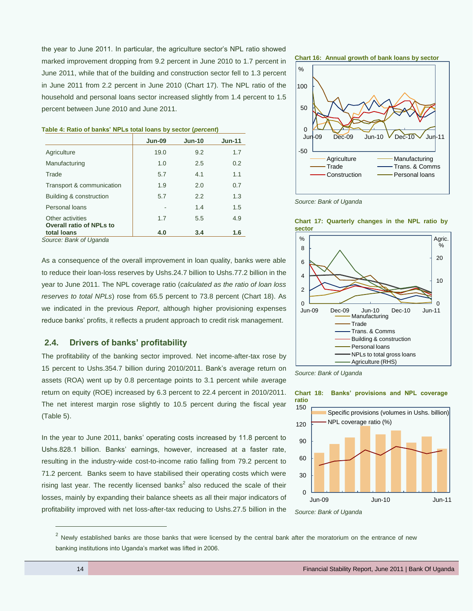the year to June 2011. In particular, the agriculture sector's NPL ratio showed marked improvement dropping from 9.2 percent in June 2010 to 1.7 percent in June 2011, while that of the building and construction sector fell to 1.3 percent in June 2011 from 2.2 percent in June 2010 (Chart 17). The NPL ratio of the household and personal loans sector increased slightly from 1.4 percent to 1.5 percent between June 2010 and June 2011.

|                                                     | <b>Jun-09</b> | $Jun-10$ | $Jun-11$ |
|-----------------------------------------------------|---------------|----------|----------|
| Agriculture                                         | 19.0          | 9.2      | 1.7      |
| Manufacturing                                       | 1.0           | 2.5      | 0.2      |
| Trade                                               | 5.7           | 4.1      | 1.1      |
| Transport & communication                           | 1.9           | 2.0      | 0.7      |
| Building & construction                             | 5.7           | 2.2      | 1.3      |
| Personal loans                                      |               | 1.4      | 1.5      |
| Other activities<br><b>Overall ratio of NPLs to</b> | 1.7           | 5.5      | 4.9      |
| total loans<br>_ _ _ _<br>$\sim$                    | 4.0           | 3.4      | 1.6      |

#### **Table 4: Ratio of banks' NPLs total loans by sector (***percent***)**

*Source: Bank of Uganda*

As a consequence of the overall improvement in loan quality, banks were able to reduce their loan-loss reserves by Ushs.24.7 billion to Ushs.77.2 billion in the year to June 2011. The NPL coverage ratio (*calculated as the ratio of loan loss reserves to total NPLs*) rose from 65.5 percent to 73.8 percent (Chart 18). As we indicated in the previous *Report*, although higher provisioning expenses reduce banks' profits, it reflects a prudent approach to credit risk management.

#### <span id="page-13-0"></span>**2.4. Drivers of banks' profitability**

The profitability of the banking sector improved. Net income-after-tax rose by 15 percent to Ushs.354.7 billion during 2010/2011. Bank's average return on assets (ROA) went up by 0.8 percentage points to 3.1 percent while average return on equity (ROE) increased by 6.3 percent to 22.4 percent in 2010/2011. The net interest margin rose slightly to 10.5 percent during the fiscal year (Table 5).

In the year to June 2011, banks' operating costs increased by 11.8 percent to Ushs.828.1 billion. Banks' earnings, however, increased at a faster rate, resulting in the industry-wide cost-to-income ratio falling from 79.2 percent to 71.2 percent. Banks seem to have stabilised their operating costs which were rising last year. The recently licensed banks<sup>2</sup> also reduced the scale of their losses, mainly by expanding their balance sheets as all their major indicators of profitability improved with net loss-after-tax reducing to Ushs.27.5 billion in the









**Chart 17: Quarterly changes in the NPL ratio by** 







 $\overline{a}$ 

*Source: Bank of Uganda*

 $^2$  Newly established banks are those banks that were licensed by the central bank after the moratorium on the entrance of new banking institutions into Uganda's market was lifted in 2006.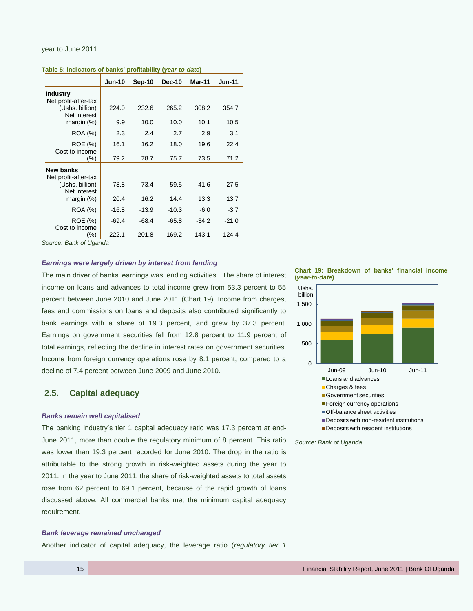#### year to June 2011.

**Table 5: Indicators of banks' profitability (***year-to-date***)**

|                                         | <b>Jun-10</b> | Sep-10   | <b>Dec-10</b> | <b>Mar-11</b> | <b>Jun-11</b> |
|-----------------------------------------|---------------|----------|---------------|---------------|---------------|
| <b>Industry</b><br>Net profit-after-tax |               |          |               |               |               |
| (Ushs. billion)<br>Net interest         | 224.0         | 232.6    | 265.2         | 308.2         | 354.7         |
| margin $(\%)$                           | 9.9           | 10.0     | 10.0          | 10.1          | 10.5          |
| ROA (%)                                 | 2.3           | 2.4      | 2.7           | 2.9           | 3.1           |
| ROE (%)<br>Cost to income               | 16.1          | 16.2     | 18.0          | 19.6          | 22.4          |
| $(\% )$                                 | 79.2          | 78.7     | 75.7          | 73.5          | 71.2          |
| New banks<br>Net profit-after-tax       |               |          |               |               |               |
| (Ushs. billion)<br>Net interest         | $-78.8$       | $-73.4$  | $-59.5$       | $-41.6$       | $-27.5$       |
| margin $(\%)$                           | 20.4          | 16.2     | 14.4          | 13.3          | 13.7          |
| ROA (%)                                 | $-16.8$       | $-13.9$  | $-10.3$       | $-6.0$        | $-3.7$        |
| ROE (%)<br>Cost to income               | $-69.4$       | $-68.4$  | $-65.8$       | $-34.2$       | $-21.0$       |
| (%)                                     | $-222.1$      | $-201.8$ | $-169.2$      | $-143.1$      | $-124.4$      |

*Source: Bank of Uganda*

#### *Earnings were largely driven by interest from lending*

The main driver of banks' earnings was lending activities. The share of interest income on loans and advances to total income grew from 53.3 percent to 55 percent between June 2010 and June 2011 (Chart 19). Income from charges, fees and commissions on loans and deposits also contributed significantly to bank earnings with a share of 19.3 percent, and grew by 37.3 percent. Earnings on government securities fell from 12.8 percent to 11.9 percent of total earnings, reflecting the decline in interest rates on government securities. Income from foreign currency operations rose by 8.1 percent, compared to a decline of 7.4 percent between June 2009 and June 2010.

#### <span id="page-14-0"></span>**2.5. Capital adequacy**

#### *Banks remain well capitalised*

The banking industry's tier 1 capital adequacy ratio was 17.3 percent at end-June 2011, more than double the regulatory minimum of 8 percent. This ratio was lower than 19.3 percent recorded for June 2010. The drop in the ratio is attributable to the strong growth in risk-weighted assets during the year to 2011. In the year to June 2011, the share of risk-weighted assets to total assets rose from 62 percent to 69.1 percent, because of the rapid growth of loans discussed above. All commercial banks met the minimum capital adequacy requirement.

#### *Bank leverage remained unchanged*

Another indicator of capital adequacy, the leverage ratio (*regulatory tier 1* 

**Chart 19: Breakdown of banks' financial income (***year-to-date***)**

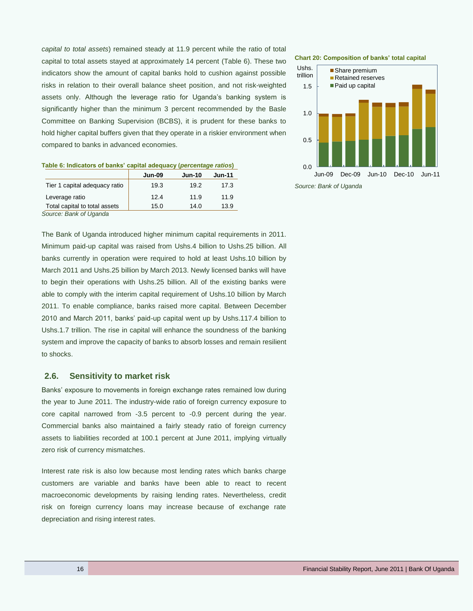*capital to total assets*) remained steady at 11.9 percent while the ratio of total capital to total assets stayed at approximately 14 percent (Table 6). These two indicators show the amount of capital banks hold to cushion against possible risks in relation to their overall balance sheet position, and not risk-weighted assets only. Although the leverage ratio for Uganda's banking system is significantly higher than the minimum 3 percent recommended by the Basle Committee on Banking Supervision (BCBS), it is prudent for these banks to hold higher capital buffers given that they operate in a riskier environment when compared to banks in advanced economies.

|                               | <b>Jun-09</b> | <b>Jun-10</b> | <b>Jun-11</b> |
|-------------------------------|---------------|---------------|---------------|
| Tier 1 capital adequacy ratio | 19.3          | 19.2          | 17.3          |
| Leverage ratio                | 12.4          | 11.9          | 11.9          |
| Total capital to total assets | 15.0          | 14.0          | 13.9          |

| Table 6: Indicators of banks' capital adequacy (percentage ratios) |  |  |
|--------------------------------------------------------------------|--|--|
|                                                                    |  |  |

*Source: Bank of Uganda*

The Bank of Uganda introduced higher minimum capital requirements in 2011. Minimum paid-up capital was raised from Ushs.4 billion to Ushs.25 billion. All banks currently in operation were required to hold at least Ushs.10 billion by March 2011 and Ushs.25 billion by March 2013. Newly licensed banks will have to begin their operations with Ushs.25 billion. All of the existing banks were able to comply with the interim capital requirement of Ushs.10 billion by March 2011. To enable compliance, banks raised more capital. Between December 2010 and March 2011, banks' paid-up capital went up by Ushs.117.4 billion to Ushs.1.7 trillion. The rise in capital will enhance the soundness of the banking system and improve the capacity of banks to absorb losses and remain resilient to shocks.

#### <span id="page-15-0"></span>**2.6. Sensitivity to market risk**

Banks' exposure to movements in foreign exchange rates remained low during the year to June 2011. The industry-wide ratio of foreign currency exposure to core capital narrowed from -3.5 percent to -0.9 percent during the year. Commercial banks also maintained a fairly steady ratio of foreign currency assets to liabilities recorded at 100.1 percent at June 2011, implying virtually zero risk of currency mismatches.

Interest rate risk is also low because most lending rates which banks charge customers are variable and banks have been able to react to recent macroeconomic developments by raising lending rates. Nevertheless, credit risk on foreign currency loans may increase because of exchange rate depreciation and rising interest rates.

#### **Chart 20: Composition of banks' total capital**

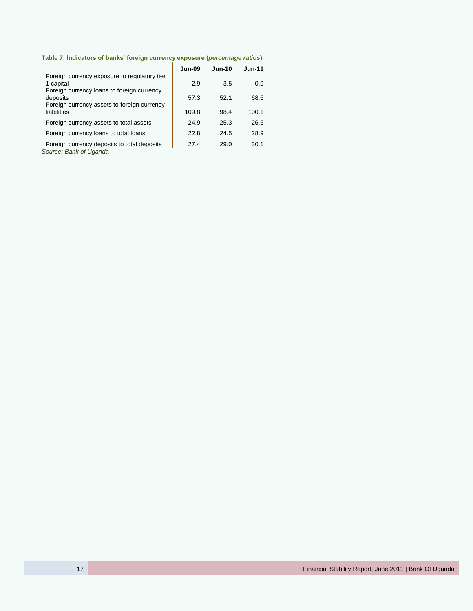**Table 7: Indicators of banks' foreign currency exposure (***percentage ratios***)**

|                                                                                                       | <b>Jun-09</b> | <b>Jun-10</b> | <b>Jun-11</b> |
|-------------------------------------------------------------------------------------------------------|---------------|---------------|---------------|
| Foreign currency exposure to regulatory tier<br>1 capital                                             | $-2.9$        | $-3.5$        | $-0.9$        |
| Foreign currency loans to foreign currency<br>deposits<br>Foreign currency assets to foreign currency | 57.3          | 52.1          | 68.6          |
| liabilities                                                                                           | 109.8         | 98.4          | 100.1         |
| Foreign currency assets to total assets                                                               | 24.9          | 25.3          | 26.6          |
| Foreign currency loans to total loans                                                                 | 22.8          | 24.5          | 28.9          |
| Foreign currency deposits to total deposits<br>Course Dople of Hannda                                 | 27.4          | 29.0          | 30.1          |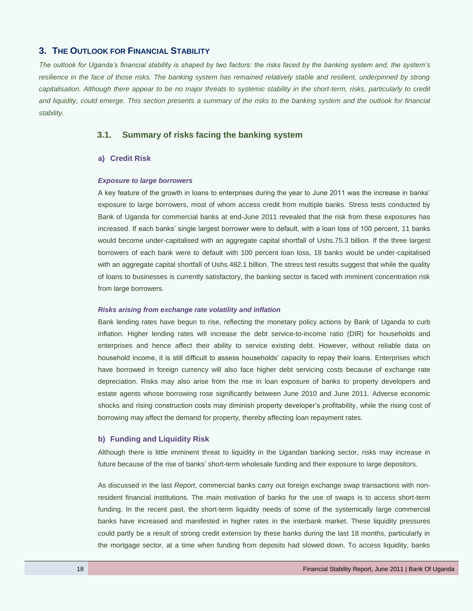#### <span id="page-17-0"></span>**3. THE OUTLOOK FOR FINANCIAL STABILITY**

*The outlook for Uganda's financial stability is shaped by two factors: the risks faced by the banking system and, the system's resilience in the face of those risks. The banking system has remained relatively stable and resilient, underpinned by strong* capitalisation. Although there appear to be no major threats to systemic stability in the short-term, risks, particularly to credit *and liquidity, could emerge. This section presents a summary of the risks to the banking system and the outlook for financial stability.*

#### <span id="page-17-1"></span>**3.1. Summary of risks facing the banking system**

#### **a) Credit Risk**

#### *Exposure to large borrowers*

A key feature of the growth in loans to enterprises during the year to June 2011 was the increase in banks' exposure to large borrowers, most of whom access credit from multiple banks. Stress tests conducted by Bank of Uganda for commercial banks at end-June 2011 revealed that the risk from these exposures has increased. If each banks' single largest borrower were to default, with a loan loss of 100 percent, 11 banks would become under-capitalised with an aggregate capital shortfall of Ushs.75.3 billion. If the three largest borrowers of each bank were to default with 100 percent loan loss, 18 banks would be under-capitalised with an aggregate capital shortfall of Ushs.482.1 billion. The stress test results suggest that while the quality of loans to businesses is currently satisfactory, the banking sector is faced with imminent concentration risk from large borrowers.

#### *Risks arising from exchange rate volatility and inflation*

Bank lending rates have begun to rise, reflecting the monetary policy actions by Bank of Uganda to curb inflation. Higher lending rates will increase the debt service-to-income ratio (DIR) for households and enterprises and hence affect their ability to service existing debt. However, without reliable data on household income, it is still difficult to assess households' capacity to repay their loans. Enterprises which have borrowed in foreign currency will also face higher debt servicing costs because of exchange rate depreciation. Risks may also arise from the rise in loan exposure of banks to property developers and estate agents whose borrowing rose significantly between June 2010 and June 2011. Adverse economic shocks and rising construction costs may diminish property developer's profitability, while the rising cost of borrowing may affect the demand for property, thereby affecting loan repayment rates.

#### **b) Funding and Liquidity Risk**

Although there is little imminent threat to liquidity in the Ugandan banking sector, risks may increase in future because of the rise of banks' short-term wholesale funding and their exposure to large depositors.

As discussed in the last *Report*, commercial banks carry out foreign exchange swap transactions with nonresident financial institutions. The main motivation of banks for the use of swaps is to access short-term funding. In the recent past, the short-term liquidity needs of some of the systemically large commercial banks have increased and manifested in higher rates in the interbank market. These liquidity pressures could partly be a result of strong credit extension by these banks during the last 18 months, particularly in the mortgage sector, at a time when funding from deposits had slowed down. To access liquidity, banks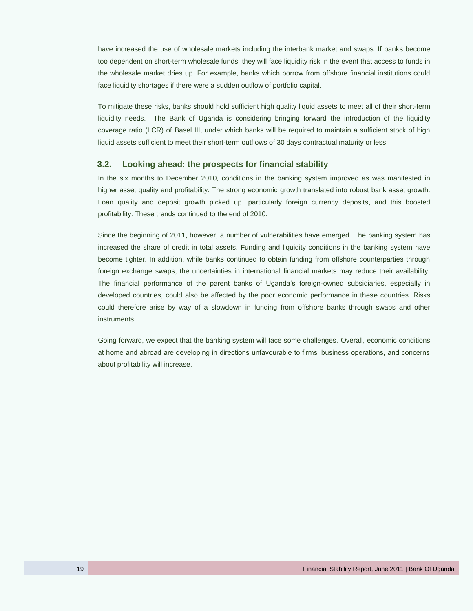have increased the use of wholesale markets including the interbank market and swaps. If banks become too dependent on short-term wholesale funds, they will face liquidity risk in the event that access to funds in the wholesale market dries up. For example, banks which borrow from offshore financial institutions could face liquidity shortages if there were a sudden outflow of portfolio capital.

To mitigate these risks, banks should hold sufficient high quality liquid assets to meet all of their short-term liquidity needs. The Bank of Uganda is considering bringing forward the introduction of the liquidity coverage ratio (LCR) of Basel III, under which banks will be required to maintain a sufficient stock of high liquid assets sufficient to meet their short-term outflows of 30 days contractual maturity or less.

#### <span id="page-18-0"></span>**3.2. Looking ahead: the prospects for financial stability**

In the six months to December 2010*,* conditions in the banking system improved as was manifested in higher asset quality and profitability. The strong economic growth translated into robust bank asset growth. Loan quality and deposit growth picked up, particularly foreign currency deposits, and this boosted profitability. These trends continued to the end of 2010.

Since the beginning of 2011, however, a number of vulnerabilities have emerged. The banking system has increased the share of credit in total assets. Funding and liquidity conditions in the banking system have become tighter. In addition, while banks continued to obtain funding from offshore counterparties through foreign exchange swaps, the uncertainties in international financial markets may reduce their availability. The financial performance of the parent banks of Uganda's foreign-owned subsidiaries, especially in developed countries, could also be affected by the poor economic performance in these countries. Risks could therefore arise by way of a slowdown in funding from offshore banks through swaps and other instruments.

Going forward, we expect that the banking system will face some challenges. Overall, economic conditions at home and abroad are developing in directions unfavourable to firms' business operations, and concerns about profitability will increase.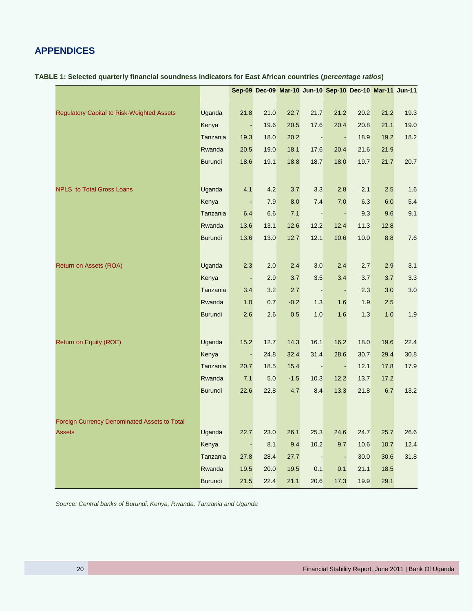# <span id="page-19-0"></span>**APPENDICES**

| TABLE 1: Selected quarterly financial soundness indicators for East African countries ( <i>percentage ratios</i> ) |
|--------------------------------------------------------------------------------------------------------------------|
|--------------------------------------------------------------------------------------------------------------------|

|                                                   |                |                |      |        |                | Sep-09 Dec-09 Mar-10 Jun-10 Sep-10 Dec-10 Mar-11 Jun-11 |      |      |      |
|---------------------------------------------------|----------------|----------------|------|--------|----------------|---------------------------------------------------------|------|------|------|
|                                                   |                |                |      |        |                |                                                         |      |      |      |
| <b>Regulatory Capital to Risk-Weighted Assets</b> | Uganda         | 21.8           | 21.0 | 22.7   | 21.7           | 21.2                                                    | 20.2 | 21.2 | 19.3 |
|                                                   | Kenya          | $\blacksquare$ | 19.6 | 20.5   | 17.6           | 20.4                                                    | 20.8 | 21.1 | 19.0 |
|                                                   | Tanzania       | 19.3           | 18.0 | 20.2   |                |                                                         | 18.9 | 19.2 | 18.2 |
|                                                   | Rwanda         | 20.5           | 19.0 | 18.1   | 17.6           | 20.4                                                    | 21.6 | 21.9 |      |
|                                                   | Burundi        | 18.6           | 19.1 | 18.8   | 18.7           | 18.0                                                    | 19.7 | 21.7 | 20.7 |
|                                                   |                |                |      |        |                |                                                         |      |      |      |
| NPLS to Total Gross Loans                         | Uganda         | 4.1            | 4.2  | 3.7    | 3.3            | 2.8                                                     | 2.1  | 2.5  | 1.6  |
|                                                   | Kenya          |                | 7.9  | 8.0    | 7.4            | 7.0                                                     | 6.3  | 6.0  | 5.4  |
|                                                   | Tanzania       | 6.4            | 6.6  | 7.1    | $\blacksquare$ | $\sim$                                                  | 9.3  | 9.6  | 9.1  |
|                                                   | Rwanda         | 13.6           | 13.1 | 12.6   | 12.2           | 12.4                                                    | 11.3 | 12.8 |      |
|                                                   | <b>Burundi</b> | 13.6           | 13.0 | 12.7   | 12.1           | 10.6                                                    | 10.0 | 8.8  | 7.6  |
|                                                   |                |                |      |        |                |                                                         |      |      |      |
| Return on Assets (ROA)                            | Uganda         | 2.3            | 2.0  | 2.4    | 3.0            | 2.4                                                     | 2.7  | 2.9  | 3.1  |
|                                                   | Kenya          | $\sim$         | 2.9  | 3.7    | 3.5            | 3.4                                                     | 3.7  | 3.7  | 3.3  |
|                                                   | Tanzania       | 3.4            | 3.2  | 2.7    |                |                                                         | 2.3  | 3.0  | 3.0  |
|                                                   | Rwanda         | 1.0            | 0.7  | $-0.2$ | 1.3            | 1.6                                                     | 1.9  | 2.5  |      |
|                                                   | Burundi        | 2.6            | 2.6  | 0.5    | 1.0            | 1.6                                                     | 1.3  | 1.0  | 1.9  |
|                                                   |                |                |      |        |                |                                                         |      |      |      |
| Return on Equity (ROE)                            | Uganda         | 15.2           | 12.7 | 14.3   | 16.1           | 16.2                                                    | 18.0 | 19.6 | 22.4 |
|                                                   | Kenya          | $\blacksquare$ | 24.8 | 32.4   | 31.4           | 28.6                                                    | 30.7 | 29.4 | 30.8 |
|                                                   | Tanzania       | 20.7           | 18.5 | 15.4   | $\blacksquare$ | $\sim$                                                  | 12.1 | 17.8 | 17.9 |
|                                                   | Rwanda         | 7.1            | 5.0  | $-1.5$ | 10.3           | 12.2                                                    | 13.7 | 17.2 |      |
|                                                   | Burundi        | 22.6           | 22.8 | 4.7    | 8.4            | 13.3                                                    | 21.8 | 6.7  | 13.2 |
|                                                   |                |                |      |        |                |                                                         |      |      |      |
|                                                   |                |                |      |        |                |                                                         |      |      |      |
| Foreign Currency Denominated Assets to Total      |                |                |      |        |                |                                                         |      |      |      |
| <b>Assets</b>                                     | Uganda         | 22.7           | 23.0 | 26.1   | 25.3           | 24.6                                                    | 24.7 | 25.7 | 26.6 |
|                                                   | Kenya          |                | 8.1  | 9.4    | 10.2           | 9.7                                                     | 10.6 | 10.7 | 12.4 |
|                                                   | Tanzania       | 27.8           | 28.4 | 27.7   |                |                                                         | 30.0 | 30.6 | 31.8 |
|                                                   | Rwanda         | 19.5           | 20.0 | 19.5   | 0.1            | 0.1                                                     | 21.1 | 18.5 |      |
|                                                   | Burundi        | 21.5           | 22.4 | 21.1   | 20.6           | 17.3                                                    | 19.9 | 29.1 |      |

*Source: Central banks of Burundi, Kenya, Rwanda, Tanzania and Uganda*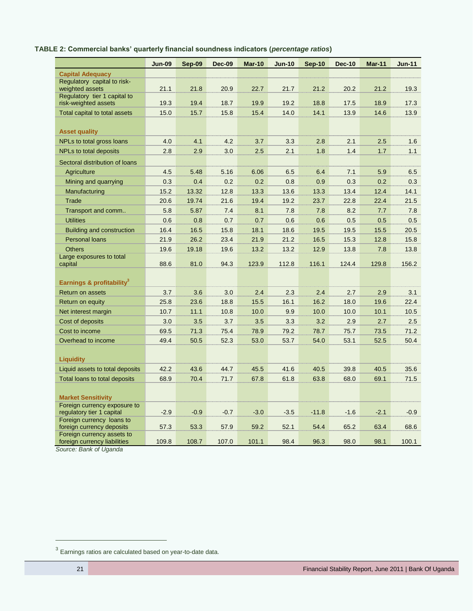# **TABLE 2: Commercial banks' quarterly financial soundness indicators (***percentage ratios***)**

|                                                            | <b>Jun-09</b> | Sep-09 | <b>Dec-09</b> | <b>Mar-10</b> | <b>Jun-10</b> | Sep-10  | <b>Dec-10</b> | <b>Mar-11</b> | <b>Jun-11</b> |
|------------------------------------------------------------|---------------|--------|---------------|---------------|---------------|---------|---------------|---------------|---------------|
| <b>Capital Adequacy</b>                                    |               |        |               |               |               |         |               |               |               |
| Regulatory capital to risk-<br>weighted assets             | 21.1          | 21.8   | 20.9          | 22.7          | 21.7          | 21.2    | 20.2          | 21.2          | 19.3          |
| Regulatory tier 1 capital to<br>risk-weighted assets       | 19.3          | 19.4   | 18.7          | 19.9          | 19.2          | 18.8    | 17.5          | 18.9          | 17.3          |
| Total capital to total assets                              | 15.0          | 15.7   | 15.8          | 15.4          | 14.0          | 14.1    | 13.9          | 14.6          | 13.9          |
|                                                            |               |        |               |               |               |         |               |               |               |
| <b>Asset quality</b>                                       |               |        |               |               |               |         |               |               |               |
| NPLs to total gross loans                                  | 4.0           | 4.1    | 4.2           | 3.7           | 3.3           | 2.8     | 2.1           | 2.5           | 1.6           |
| <b>NPLs to total deposits</b>                              | 2.8           | 2.9    | 3.0           | 2.5           | 2.1           | 1.8     | 1.4           | 1.7           | 1.1           |
| Sectoral distribution of loans                             |               |        |               |               |               |         |               |               |               |
| Agriculture                                                | 4.5           | 5.48   | 5.16          | 6.06          | 6.5           | 6.4     | 7.1           | 5.9           | 6.5           |
| Mining and quarrying                                       | 0.3           | 0.4    | 0.2           | 0.2           | 0.8           | 0.9     | 0.3           | 0.2           | 0.3           |
| Manufacturing                                              | 15.2          | 13.32  | 12.8          | 13.3          | 13.6          | 13.3    | 13.4          | 12.4          | 14.1          |
| Trade                                                      | 20.6          | 19.74  | 21.6          | 19.4          | 19.2          | 23.7    | 22.8          | 22.4          | 21.5          |
| Transport and comm                                         | 5.8           | 5.87   | 7.4           | 8.1           | 7.8           | 7.8     | 8.2           | 7.7           | 7.8           |
| <b>Utilities</b>                                           | 0.6           | 0.8    | 0.7           | 0.7           | 0.6           | 0.6     | 0.5           | 0.5           | 0.5           |
| Building and construction                                  | 16.4          | 16.5   | 15.8          | 18.1          | 18.6          | 19.5    | 19.5          | 15.5          | 20.5          |
| <b>Personal loans</b>                                      | 21.9          | 26.2   | 23.4          | 21.9          | 21.2          | 16.5    | 15.3          | 12.8          | 15.8          |
| <b>Others</b>                                              | 19.6          | 19.18  | 19.6          | 13.2          | 13.2          | 12.9    | 13.8          | 7.8           | 13.8          |
| Large exposures to total<br>capital                        | 88.6          | 81.0   | 94.3          | 123.9         | 112.8         | 116.1   | 124.4         | 129.8         | 156.2         |
| Earnings & profitability <sup>3</sup>                      |               |        |               |               |               |         |               |               |               |
| <b>Return on assets</b>                                    | 3.7           | 3.6    | 3.0           | 2.4           | 2.3           | 2.4     | 2.7           | 2.9           | 3.1           |
| Return on equity                                           | 25.8          | 23.6   | 18.8          | 15.5          | 16.1          | 16.2    | 18.0          | 19.6          | 22.4          |
| Net interest margin                                        | 10.7          | 11.1   | 10.8          | 10.0          | 9.9           | 10.0    | 10.0          | 10.1          | 10.5          |
| Cost of deposits                                           | 3.0           | 3.5    | 3.7           | 3.5           | 3.3           | 3.2     | 2.9           | 2.7           | 2.5           |
| Cost to income                                             | 69.5          | 71.3   | 75.4          | 78.9          | 79.2          | 78.7    | 75.7          | 73.5          | 71.2          |
| Overhead to income                                         | 49.4          | 50.5   | 52.3          | 53.0          | 53.7          | 54.0    | 53.1          | 52.5          | 50.4          |
|                                                            |               |        |               |               |               |         |               |               |               |
| <b>Liquidity</b>                                           |               |        |               |               |               |         |               |               |               |
| Liquid assets to total deposits                            | 42.2          | 43.6   | 44.7          | 45.5          | 41.6          | 40.5    | 39.8          | 40.5          | 35.6          |
| Total loans to total deposits                              | 68.9          | 70.4   | 71.7          | 67.8          | 61.8          | 63.8    | 68.0          | 69.1          | 71.5          |
| <b>Market Sensitivity</b>                                  |               |        |               |               |               |         |               |               |               |
| Foreign currency exposure to<br>regulatory tier 1 capital  | $-2.9$        | $-0.9$ | $-0.7$        | $-3.0$        | $-3.5$        | $-11.8$ | $-1.6$        | $-2.1$        | $-0.9$        |
| Foreign currency loans to<br>foreign currency deposits     | 57.3          | 53.3   | 57.9          | 59.2          | 52.1          | 54.4    | 65.2          | 63.4          | 68.6          |
| Foreign currency assets to<br>foreign currency liabilities | 109.8         | 108.7  | 107.0         | 101.1         | 98.4          | 96.3    | 98.0          | 98.1          | 100.1         |

*Source: Bank of Uganda*

 $\overline{a}$ 

 $3$  Earnings ratios are calculated based on year-to-date data.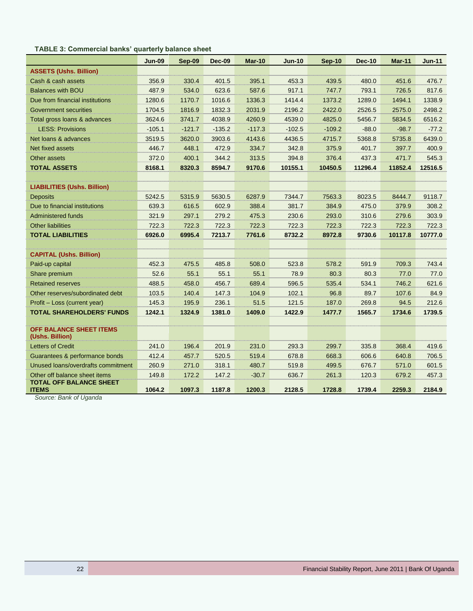### **TABLE 3: Commercial banks' quarterly balance sheet**

|                                                                 | <b>Jun-09</b> | Sep-09   | <b>Dec-09</b> | <b>Mar-10</b> | <b>Jun-10</b> | <b>Sep-10</b> | <b>Dec-10</b> | <b>Mar-11</b> | <b>Jun-11</b> |
|-----------------------------------------------------------------|---------------|----------|---------------|---------------|---------------|---------------|---------------|---------------|---------------|
| <b>ASSETS (Ushs. Billion)</b>                                   |               |          |               |               |               |               |               |               |               |
| Cash & cash assets                                              | 356.9         | 330.4    | 401.5         | 395.1         | 453.3         | 439.5         | 480.0         | 451.6         | 476.7         |
| <b>Balances with BOU</b>                                        | 487.9         | 534.0    | 623.6         | 587.6         | 917.1         | 747.7         | 793.1         | 726.5         | 817.6         |
| Due from financial institutions                                 | 1280.6        | 1170.7   | 1016.6        | 1336.3        | 1414.4        | 1373.2        | 1289.0        | 1494.1        | 1338.9        |
| <b>Government securities</b>                                    | 1704.5        | 1816.9   | 1832.3        | 2031.9        | 2196.2        | 2422.0        | 2526.5        | 2575.0        | 2498.2        |
| Total gross loans & advances                                    | 3624.6        | 3741.7   | 4038.9        | 4260.9        | 4539.0        | 4825.0        | 5456.7        | 5834.5        | 6516.2        |
| <b>LESS: Provisions</b>                                         | $-105.1$      | $-121.7$ | $-135.2$      | $-117.3$      | $-102.5$      | $-109.2$      | $-88.0$       | $-98.7$       | $-77.2$       |
| Net loans & advances                                            | 3519.5        | 3620.0   | 3903.6        | 4143.6        | 4436.5        | 4715.7        | 5368.8        | 5735.8        | 6439.0        |
| Net fixed assets                                                | 446.7         | 448.1    | 472.9         | 334.7         | 342.8         | 375.9         | 401.7         | 397.7         | 400.9         |
| Other assets                                                    | 372.0         | 400.1    | 344.2         | 313.5         | 394.8         | 376.4         | 437.3         | 471.7         | 545.3         |
| <b>TOTAL ASSETS</b>                                             | 8168.1        | 8320.3   | 8594.7        | 9170.6        | 10155.1       | 10450.5       | 11296.4       | 11852.4       | 12516.5       |
|                                                                 |               |          |               |               |               |               |               |               |               |
| <b>LIABILITIES (Ushs. Billion)</b>                              |               |          |               |               |               |               |               |               |               |
| <b>Deposits</b>                                                 | 5242.5        | 5315.9   | 5630.5        | 6287.9        | 7344.7        | 7563.3        | 8023.5        | 8444.7        | 9118.7        |
| Due to financial institutions                                   | 639.3         | 616.5    | 602.9         | 388.4         | 381.7         | 384.9         | 475.0         | 379.9         | 308.2         |
| <b>Administered funds</b>                                       | 321.9         | 297.1    | 279.2         | 475.3         | 230.6         | 293.0         | 310.6         | 279.6         | 303.9         |
| <b>Other liabilities</b>                                        | 722.3         | 722.3    | 722.3         | 722.3         | 722.3         | 722.3         | 722.3         | 722.3         | 722.3         |
| <b>TOTAL LIABILITIES</b>                                        | 6926.0        | 6995.4   | 7213.7        | 7761.6        | 8732.2        | 8972.8        | 9730.6        | 10117.8       | 10777.0       |
|                                                                 |               |          |               |               |               |               |               |               |               |
| <b>CAPITAL (Ushs. Billion)</b>                                  |               |          |               |               |               |               |               |               |               |
| Paid-up capital                                                 | 452.3         | 475.5    | 485.8         | 508.0         | 523.8         | 578.2         | 591.9         | 709.3         | 743.4         |
| Share premium                                                   | 52.6          | 55.1     | 55.1          | 55.1          | 78.9          | 80.3          | 80.3          | 77.0          | 77.0          |
| <b>Retained reserves</b>                                        | 488.5         | 458.0    | 456.7         | 689.4         | 596.5         | 535.4         | 534.1         | 746.2         | 621.6         |
| Other reserves/subordinated debt                                | 103.5         | 140.4    | 147.3         | 104.9         | 102.1         | 96.8          | 89.7          | 107.6         | 84.9          |
| Profit - Loss (current year)                                    | 145.3         | 195.9    | 236.1         | 51.5          | 121.5         | 187.0         | 269.8         | 94.5          | 212.6         |
| <b>TOTAL SHAREHOLDERS' FUNDS</b>                                | 1242.1        | 1324.9   | 1381.0        | 1409.0        | 1422.9        | 1477.7        | 1565.7        | 1734.6        | 1739.5        |
|                                                                 |               |          |               |               |               |               |               |               |               |
| <b>OFF BALANCE SHEET ITEMS</b><br>(Ushs. Billion)               |               |          |               |               |               |               |               |               |               |
| <b>Letters of Credit</b>                                        | 241.0         | 196.4    | 201.9         | 231.0         | 293.3         | 299.7         | 335.8         | 368.4         | 419.6         |
| Guarantees & performance bonds                                  | 412.4         | 457.7    | 520.5         | 519.4         | 678.8         | 668.3         | 606.6         | 640.8         | 706.5         |
| Unused loans/overdrafts commitment                              | 260.9         | 271.0    | 318.1         | 480.7         | 519.8         | 499.5         | 676.7         | 571.0         | 601.5         |
| Other off balance sheet items<br><b>TOTAL OFF BALANCE SHEET</b> | 149.8         | 172.2    | 147.2         | $-30.7$       | 636.7         | 261.3         | 120.3         | 679.2         | 457.3         |
| <b>ITEMS</b>                                                    | 1064.2        | 1097.3   | 1187.8        | 1200.3        | 2128.5        | 1728.8        | 1739.4        | 2259.3        | 2184.9        |